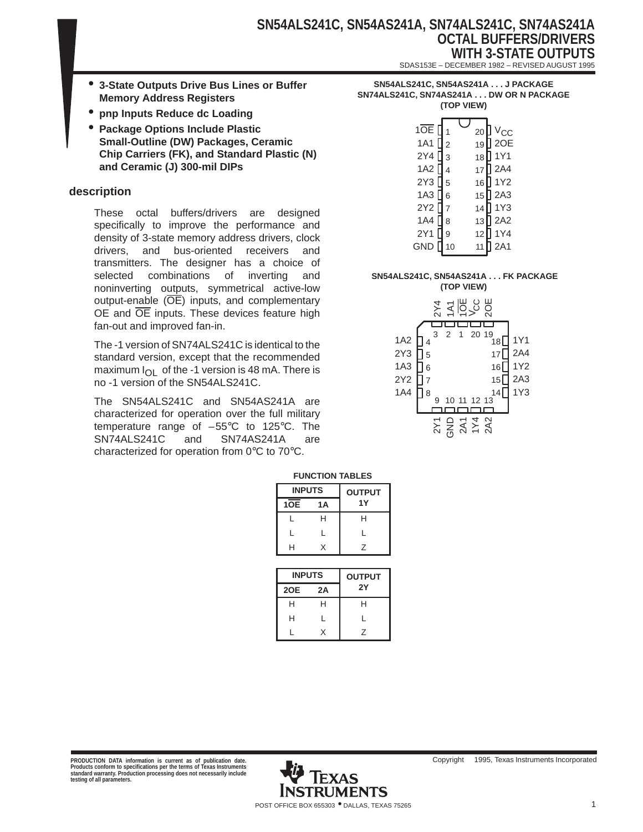- **3-State Outputs Drive Bus Lines or Buffer Memory Address Registers**
- **pnp Inputs Reduce dc Loading**
- **Package Options Include Plastic Small-Outline (DW) Packages, Ceramic Chip Carriers (FK), and Standard Plastic (N) and Ceramic (J) 300-mil DIPs**

## **description**

These octal buffers/drivers are designed specifically to improve the performance and density of 3-state memory address drivers, clock drivers, and bus-oriented receivers and transmitters. The designer has a choice of selected combinations of inverting and noninverting outputs, symmetrical active-low output-enable  $(\overline{OE})$  inputs, and complementary OE and  $\overline{OE}$  inputs. These devices feature high fan-out and improved fan-in.

The -1 version of SN74ALS241C is identical to the standard version, except that the recommended maximum  $I_{\text{O}}I_{\text{O}}$  of the -1 version is 48 mA. There is no -1 version of the SN54ALS241C.

The SN54ALS241C and SN54AS241A are characterized for operation over the full military temperature range of  $-55^{\circ}$ C to 125 $^{\circ}$ C. The SN74ALS241C and SN74AS241A are characterized for operation from 0°C to 70°C.

| SN54ALS241C, SN54AS241A J PACKAGE       |
|-----------------------------------------|
| SN74ALS241C. SN74AS241A DW OR N PACKAGE |
| (TOP VIEW)                              |

| 1OE [<br><b>1A1</b><br>2Y4 [<br>1A2<br>2Y3<br>1A3<br>2Y2 [<br><b>1A4</b><br>2Y1 | $\overline{2}$<br>3<br>4<br>5<br>6<br>8<br>9 | 20<br>19<br>18<br>17<br>16<br>15<br>14<br>13<br>12 | ] V <sub>CC</sub><br>] 2OE<br>1Y1<br>$\sqrt{2}$ 2A4<br>] 1Y2<br>$\vert$ 2A3<br>1Y3<br>$\sqrt{2A2}$<br>] 1Y4 |
|---------------------------------------------------------------------------------|----------------------------------------------|----------------------------------------------------|-------------------------------------------------------------------------------------------------------------|
| GND                                                                             | 10                                           |                                                    | 2A1                                                                                                         |
|                                                                                 |                                              |                                                    |                                                                                                             |

## **SN54ALS241C, SN54AS241A . . . FK PACKAGE**

**(TOP VIEW)**



| <b>FUNCTION TABLES</b> |    |               |  |  |  |  |  |  |
|------------------------|----|---------------|--|--|--|--|--|--|
| <b>INPUTS</b>          |    | <b>OUTPUT</b> |  |  |  |  |  |  |
| 1OE                    | 1A | 1Y            |  |  |  |  |  |  |
|                        | н  | н             |  |  |  |  |  |  |
| L                      | L  | L             |  |  |  |  |  |  |
| н                      | X  | 7             |  |  |  |  |  |  |

| <b>INPUTS</b> |    | <b>OUTPUT</b> |
|---------------|----|---------------|
| 2OE           | 2A | 2Y            |
| н             | н  | н             |
| н             | L  | L             |
|               |    | 7             |

PRODUCTION DATA information is current as of publication date.<br>Products conform to specifications per the terms of Texas Instruments<br>standard warranty. Production processing does not necessarily include<br>testing of all para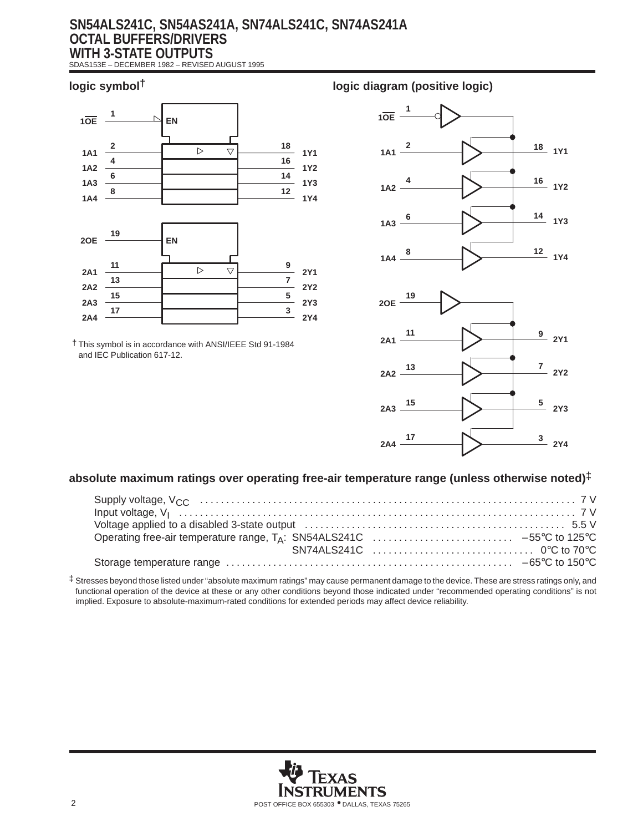## **SN54ALS241C, SN54AS241A, SN74ALS241C, SN74AS241A OCTAL BUFFERS/DRIVERS WITH 3-STATE OUTPUTS**

SDAS153E – DECEMBER 1982 – REVISED AUGUST 1995



† This symbol is in accordance with ANSI/IEEE Std 91-1984 and IEC Publication 617-12.

## **logic symbol† logic diagram (positive logic)**





## **absolute maximum ratings over operating free-air temperature range (unless otherwise noted)‡**

‡ Stresses beyond those listed under "absolute maximum ratings" may cause permanent damage to the device. These are stress ratings only, and functional operation of the device at these or any other conditions beyond those indicated under "recommended operating conditions" is not implied. Exposure to absolute-maximum-rated conditions for extended periods may affect device reliability.

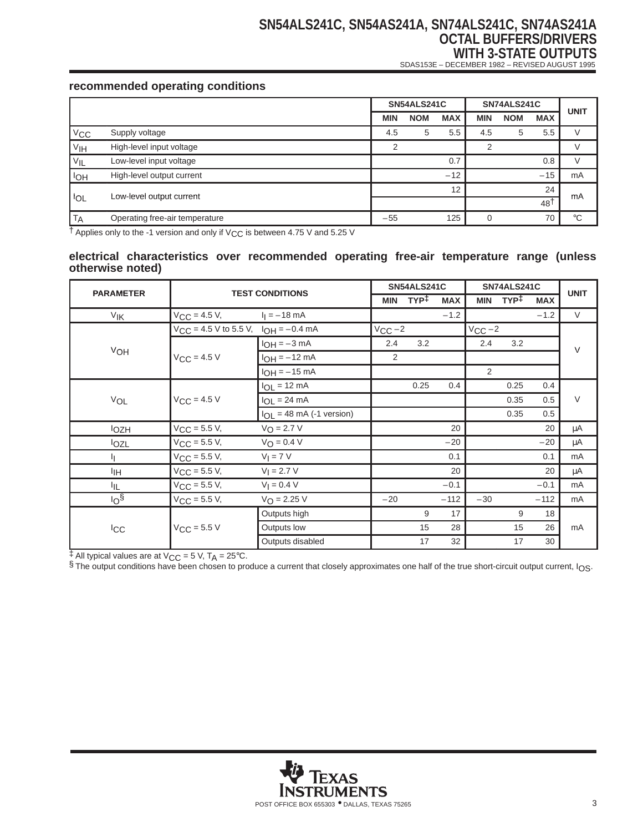# **SN54ALS241C, SN54AS241A, SN74ALS241C, SN74AS241A OCTAL BUFFERS/DRIVERS WITH 3-STATE OUTPUTS**

SDAS153E – DECEMBER 1982 – REVISED AUGUST 1995

## **recommended operating conditions**

|                       |                                | <b>SN54ALS241C</b> |            | SN74ALS241C |     |            | <b>UNIT</b>     |             |  |
|-----------------------|--------------------------------|--------------------|------------|-------------|-----|------------|-----------------|-------------|--|
|                       |                                | <b>MIN</b>         | <b>NOM</b> | <b>MAX</b>  | MIN | <b>NOM</b> | <b>MAX</b>      |             |  |
| $V_{\text{CC}}$       | Supply voltage                 | 4.5                | 5          | 5.5         | 4.5 | 5          | 5.5             |             |  |
| V <sub>IH</sub>       | High-level input voltage       | $\mathcal{P}$      |            |             | 2   |            |                 |             |  |
| V <sub>IL</sub>       | Low-level input voltage        |                    |            | 0.7         |     |            | 0.8             |             |  |
| <b>I<sub>OH</sub></b> | High-level output current      |                    |            | $-12$       |     |            | $-15$           | mA          |  |
|                       | Low-level output current       |                    |            | 12          |     |            | 24              | mA          |  |
| <b>IOL</b>            |                                |                    |            |             |     |            | 48 <sup>†</sup> |             |  |
| <b>TA</b>             | Operating free-air temperature | $-55$              |            | 125         | 0   |            | 70              | $^{\circ}C$ |  |

† Applies only to the -1 version and only if VCC is between 4.75 V and 5.25 V

#### **electrical characteristics over recommended operating free-air temperature range (unless otherwise noted)**

|                  |                                               |                               | <b>SN54ALS241C</b> |                  |            | SN74ALS241C |      |            | <b>UNIT</b> |
|------------------|-----------------------------------------------|-------------------------------|--------------------|------------------|------------|-------------|------|------------|-------------|
| <b>PARAMETER</b> | <b>TEST CONDITIONS</b>                        |                               | <b>MIN</b>         | TYP <sup>‡</sup> | <b>MAX</b> | <b>MIN</b>  | TYP‡ | <b>MAX</b> |             |
| V <sub>IK</sub>  | $V_{CC} = 4.5 V,$                             | $I_1 = -18$ mA                |                    |                  | $-1.2$     |             |      | $-1.2$     | $\vee$      |
|                  | $V_{CC}$ = 4.5 V to 5.5 V, $I_{OH}$ = -0.4 mA |                               | $V_{CC}$ -2        |                  |            | $V_{CC}$ -2 |      |            |             |
|                  |                                               | $I_{OH} = -3 mA$              | 2.4                | 3.2              |            | 2.4         | 3.2  |            | $\vee$      |
| VOH              | $V_{CC} = 4.5 V$                              | $I_{OH} = -12$ mA             | $\overline{2}$     |                  |            |             |      |            |             |
|                  |                                               | $I_{OH} = -15$ mA             |                    |                  |            | 2           |      |            |             |
|                  |                                               | $I_{OL}$ = 12 mA              |                    | 0.25             | 0.4        |             | 0.25 | 0.4        |             |
| VOL              | $V_{CC}$ = 4.5 V                              | $I_{OL}$ = 24 mA              |                    |                  |            |             | 0.35 | 0.5        | $\vee$      |
|                  |                                               | $I_{OL}$ = 48 mA (-1 version) |                    |                  |            |             | 0.35 | 0.5        |             |
| <b>l</b> ozh     | $V_{CC}$ = 5.5 V,                             | $V_{\text{O}} = 2.7 V$        |                    |                  | 20         |             |      | 20         | μA          |
| lozl             | $V_{CC} = 5.5 V,$                             | $V_{\text{O}} = 0.4 V$        |                    |                  | $-20$      |             |      | $-20$      | μA          |
| Ч.               | $V_{CC} = 5.5 V,$                             | $VI = 7 V$                    |                    |                  | 0.1        |             |      | 0.1        | mA          |
| ŀщ               | $V_{CC} = 5.5 V,$                             | $V_1 = 2.7 V$                 |                    |                  | 20         |             |      | 20         | μA          |
| 址                | $V_{CC} = 5.5 V,$                             | $V_1 = 0.4 V$                 |                    |                  | $-0.1$     |             |      | $-0.1$     | mA          |
| 10 <sup>6</sup>  | $V_{CC} = 5.5 V,$                             | $V_O = 2.25 V$                | $-20$              |                  | $-112$     | $-30$       |      | $-112$     | mA          |
|                  |                                               | Outputs high                  |                    | 9                | 17         |             | 9    | 18         |             |
| <b>ICC</b>       | $V_{CC}$ = 5.5 V                              | Outputs low                   |                    | 15               | 28         |             | 15   | 26         | mA          |
|                  |                                               | Outputs disabled              |                    | 17               | 32         |             | 17   | 30         |             |

 $\frac{1}{2}$  All typical values are at V<sub>CC</sub> = 5 V, T<sub>A</sub> = 25°C.

§ The output conditions have been chosen to produce a current that closely approximates one half of the true short-circuit output current, IOS.

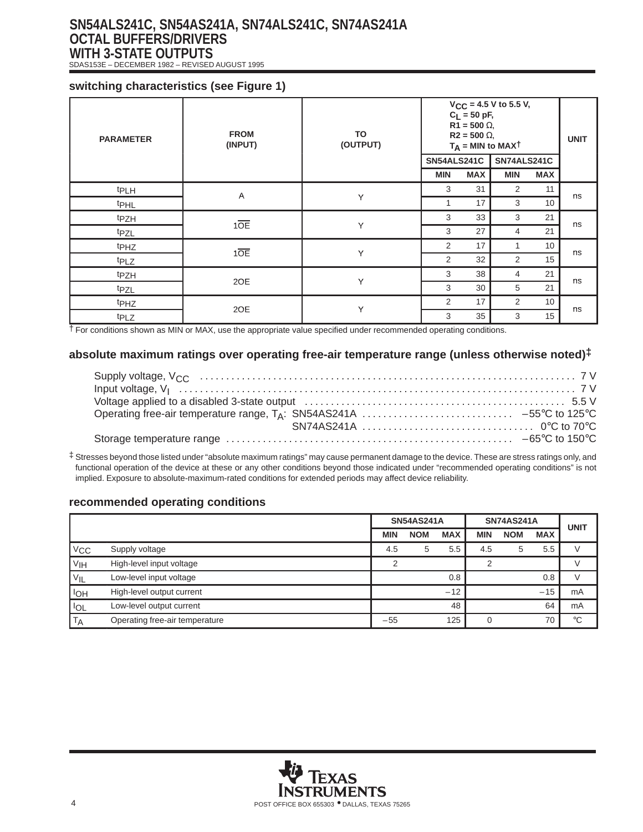# **SN54ALS241C, SN54AS241A, SN74ALS241C, SN74AS241A OCTAL BUFFERS/DRIVERS WITH 3-STATE OUTPUTS**

SDAS153E – DECEMBER 1982 – REVISED AUGUST 1995

## **switching characteristics (see Figure 1)**

| <b>PARAMETER</b> | <b>FROM</b><br>(INPUT) | TO<br>(OUTPUT) | SN54ALS241C | $C_L = 50 pF,$<br>$R1 = 500 \Omega$ ,<br>$R2 = 500 \Omega$ , | $V_{CC}$ = 4.5 V to 5.5 V,<br>$T_A$ = MIN to MAXT<br>SN74ALS241C |            | <b>UNIT</b> |
|------------------|------------------------|----------------|-------------|--------------------------------------------------------------|------------------------------------------------------------------|------------|-------------|
|                  |                        |                | <b>MIN</b>  | <b>MAX</b>                                                   | <b>MIN</b>                                                       | <b>MAX</b> |             |
| t <sub>PLH</sub> | A                      |                | 3           | 31                                                           | 2                                                                | 11         | ns          |
| t <sub>PHL</sub> |                        | Y              | 1           | 17                                                           | 3                                                                | 10         |             |
| t <sub>PZH</sub> |                        |                | 3           | 33                                                           | 3                                                                | 21         | ns          |
| t <sub>PZL</sub> | 10E                    | Y              | 3           | 27                                                           | 4                                                                | 21         |             |
| t <sub>PHZ</sub> | 10E                    |                | 2           | 17                                                           | 1                                                                | 10         | ns          |
| t <sub>PLZ</sub> |                        | Y              | 2           | 32                                                           | 2                                                                | 15         |             |
| t <sub>PZH</sub> |                        |                | 3           | 38                                                           | 4                                                                | 21         |             |
| tpzL             | 2OE                    | Υ              | 3           | 30                                                           | 5                                                                | 21         | ns          |
| t <sub>PHZ</sub> | 2OE                    | Υ              | 2           | 17                                                           | 2                                                                | 10         | ns          |
| t <sub>PLZ</sub> |                        |                | 3           | 35                                                           | 3                                                                | 15         |             |

† For conditions shown as MIN or MAX, use the appropriate value specified under recommended operating conditions.

### **absolute maximum ratings over operating free-air temperature range (unless otherwise noted)‡**

‡ Stresses beyond those listed under "absolute maximum ratings" may cause permanent damage to the device. These are stress ratings only, and functional operation of the device at these or any other conditions beyond those indicated under "recommended operating conditions" is not implied. Exposure to absolute-maximum-rated conditions for extended periods may affect device reliability.

## **recommended operating conditions**

|                 |                                | <b>SN54AS241A</b> |            | <b>SN74AS241A</b> | <b>UNIT</b> |            |            |             |
|-----------------|--------------------------------|-------------------|------------|-------------------|-------------|------------|------------|-------------|
|                 |                                | <b>MIN</b>        | <b>NOM</b> | <b>MAX</b>        | <b>MIN</b>  | <b>NOM</b> | <b>MAX</b> |             |
| $V_{\rm CC}$    | Supply voltage                 | 4.5               | 5          | 5.5               | 4.5         | 5          | 5.5        |             |
| V <sub>IH</sub> | High-level input voltage       | າ                 |            |                   | っ           |            |            |             |
| VIL             | Low-level input voltage        |                   |            | 0.8               |             |            | 0.8        |             |
| <b>IOH</b>      | High-level output current      |                   |            | $-12$             |             |            | $-15$      | mA          |
| ' IOL           | Low-level output current       |                   |            | 48                |             |            | 64         | mA          |
| <b>TA</b>       | Operating free-air temperature | $-55$             |            | 125               |             |            | 70         | $^{\circ}C$ |

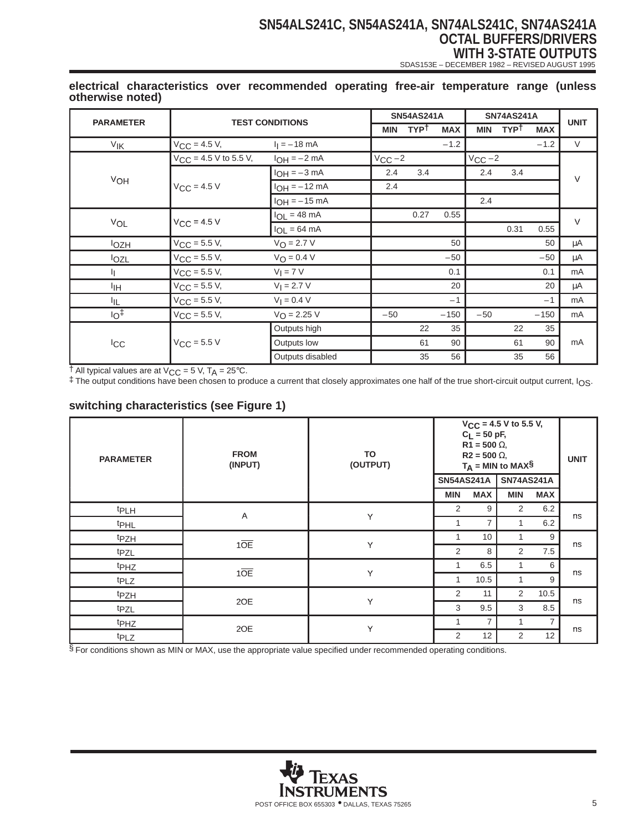# **SN54ALS241C, SN54AS241A, SN74ALS241C, SN74AS241A OCTAL BUFFERS/DRIVERS WITH 3-STATE OUTPUTS**

SDAS153E – DECEMBER 1982 – REVISED AUGUST 1995

| <b>PARAMETER</b> | <b>TEST CONDITIONS</b>     |                          |             | <b>SN54AS241A</b> |            |             | <b>SN74AS241A</b> |            | <b>UNIT</b> |
|------------------|----------------------------|--------------------------|-------------|-------------------|------------|-------------|-------------------|------------|-------------|
|                  |                            |                          | <b>MIN</b>  | <b>TYPT</b>       | <b>MAX</b> | <b>MIN</b>  | <b>TYPT</b>       | <b>MAX</b> |             |
| V <sub>IK</sub>  | $V_{CC} = 4.5 V,$          | $I_1 = -18$ mA           |             |                   | $-1.2$     |             |                   | $-1.2$     | $\vee$      |
|                  | $V_{CC}$ = 4.5 V to 5.5 V, | $I_{OH} = -2 mA$         | $V_{CC}$ -2 |                   |            | $V_{CC}$ -2 |                   |            |             |
|                  |                            | $I_{OH} = -3$ mA         | 2.4         | 3.4               |            | 2.4         | 3.4               |            | $\vee$      |
| VOH              | $V_{C,C} = 4.5 V$          | $I_{OH} = -12$ mA        | 2.4         |                   |            |             |                   |            |             |
|                  |                            | $I_{OH} = -15$ mA        |             |                   |            | 2.4         |                   |            |             |
|                  |                            | $I_{OL} = 48 \text{ mA}$ |             | 0.27              | 0.55       |             |                   |            | $\vee$      |
| VOL              | $V_{CC}$ = 4.5 V           | $I_{OL} = 64 \text{ mA}$ |             |                   |            |             | 0.31              | 0.55       |             |
| <b>lozH</b>      | $V_{CC}$ = 5.5 V,          | $V_O = 2.7 V$            |             |                   | 50         |             |                   | 50         | μA          |
| lozL             | $V_{CC} = 5.5 V,$          | $V_O = 0.4 V$            |             |                   | $-50$      |             |                   | $-50$      | μA          |
| IJ.              | $V_{CC}$ = 5.5 V,          | $V_I = 7 V$              |             |                   | 0.1        |             |                   | 0.1        | mA          |
| ŀщ               | $V_{CC} = 5.5 V,$          | $V_1 = 2.7 V$            |             |                   | 20         |             |                   | 20         | μA          |
| ΙL               | $V_{CC} = 5.5 V,$          | $V_1 = 0.4 V$            |             |                   | $-1$       |             |                   | $-1$       | mA          |
| 1 <sub>O</sub>   | $V_{CC}$ = 5.5 V,          | $V_{O} = 2.25 V$         | $-50$       |                   | $-150$     | $-50$       |                   | $-150$     | mA          |
|                  |                            | Outputs high             |             | 22                | 35         |             | 22                | 35         |             |
| <b>ICC</b>       | $V_{CC}$ = 5.5 V           | Outputs low              |             | 61                | 90         |             | 61                | 90         | mA          |
|                  |                            | Outputs disabled         |             | 35                | 56         |             | 35                | 56         |             |

#### **electrical characteristics over recommended operating free-air temperature range (unless otherwise noted)**

 $\dagger$  All typical values are at  $V_{CC} = 5$  V, T<sub>A</sub> = 25°C.

‡ The output conditions have been chosen to produce a current that closely approximates one half of the true short-circuit output current, IOS.

## **switching characteristics (see Figure 1)**

| <b>PARAMETER</b> | <b>FROM</b><br>(INPUT) | TO<br>(OUTPUT) | <b>SN54AS241A</b> | $C_L = 50$ pF,<br>$R1 = 500 \Omega$ ,<br>$R2 = 500 \Omega$ | $V_{CC}$ = 4.5 V to 5.5 V,<br>$T_A$ = MIN to MAX§<br><b>SN74AS241A</b> |                | <b>UNIT</b> |
|------------------|------------------------|----------------|-------------------|------------------------------------------------------------|------------------------------------------------------------------------|----------------|-------------|
|                  |                        |                | <b>MIN</b>        | <b>MAX</b>                                                 | <b>MIN</b>                                                             | <b>MAX</b>     |             |
| t <sub>PLH</sub> |                        |                | 2                 | 9                                                          | 2                                                                      | 6.2            |             |
|                  | Α                      | Y              |                   | 7                                                          |                                                                        | 6.2            | ns          |
| <sup>t</sup> PHL |                        |                |                   |                                                            |                                                                        |                |             |
| t <sub>PZH</sub> | 10E                    | Y              |                   | 10                                                         |                                                                        | 9              | ns          |
| tpzL             |                        |                | 2                 | 8                                                          | $\overline{2}$                                                         | 7.5            |             |
| t <sub>PHZ</sub> |                        |                | 1                 | 6.5                                                        | $\mathbf{1}$                                                           | 6              |             |
| t <sub>PLZ</sub> | 10E                    | Y              | 1                 | 10.5                                                       |                                                                        | 9              | ns          |
| t <sub>PZH</sub> |                        |                | $\mathcal{P}$     | 11                                                         | 2                                                                      | 10.5           | ns          |
| t <sub>PZL</sub> | 2OE                    | Y              | 3                 | 9.5                                                        | 3                                                                      | 8.5            |             |
| t <sub>PHZ</sub> | 2OE                    | Y              |                   | $\overline{7}$                                             |                                                                        | $\overline{7}$ |             |
| t <sub>PLZ</sub> |                        |                | $\overline{2}$    | 12                                                         | 2                                                                      | 12             | ns          |

§ For conditions shown as MIN or MAX, use the appropriate value specified under recommended operating conditions.